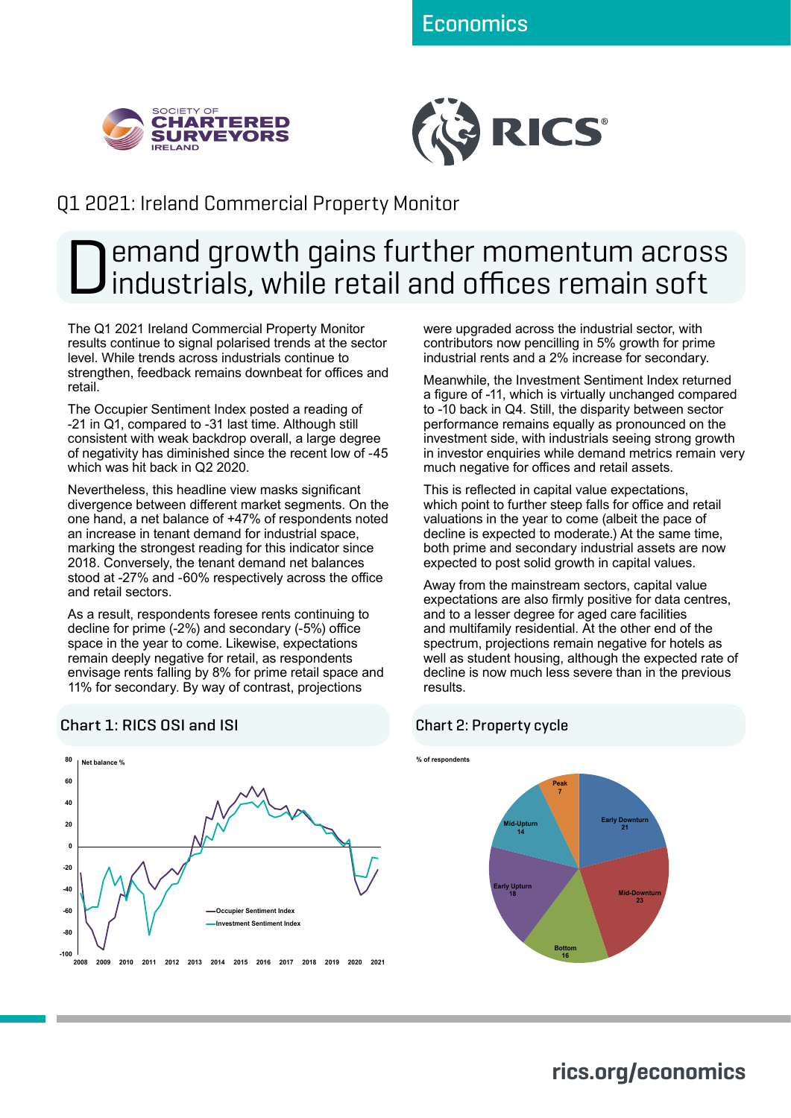



## Q1 2021: Ireland Commercial Property Monitor

# Demand growth gains further momentum across industrials, while retail and offices remain soft

The Q1 2021 Ireland Commercial Property Monitor results continue to signal polarised trends at the sector level. While trends across industrials continue to strengthen, feedback remains downbeat for offices and retail.

The Occupier Sentiment Index posted a reading of -21 in Q1, compared to -31 last time. Although still consistent with weak backdrop overall, a large degree of negativity has diminished since the recent low of -45 which was hit back in Q2 2020.

Nevertheless, this headline view masks significant divergence between different market segments. On the one hand, a net balance of +47% of respondents noted an increase in tenant demand for industrial space, marking the strongest reading for this indicator since 2018. Conversely, the tenant demand net balances stood at -27% and -60% respectively across the office and retail sectors.

As a result, respondents foresee rents continuing to decline for prime (-2%) and secondary (-5%) office space in the year to come. Likewise, expectations remain deeply negative for retail, as respondents envisage rents falling by 8% for prime retail space and 11% for secondary. By way of contrast, projections

#### **-100 -80 -60 -40 -20 0 20 40 60 80 2008 2009 2010 2011 2012 2013 2014 2015 2016 2017 2018 2019 2020 2021 Occupier Sentiment Index Investment Sentiment Index Net balance %**

#### Chart 1: RICS OSI and ISI

were upgraded across the industrial sector, with contributors now pencilling in 5% growth for prime industrial rents and a 2% increase for secondary.

Meanwhile, the Investment Sentiment Index returned a figure of -11, which is virtually unchanged compared to -10 back in Q4. Still, the disparity between sector performance remains equally as pronounced on the investment side, with industrials seeing strong growth in investor enquiries while demand metrics remain very much negative for offices and retail assets.

This is reflected in capital value expectations, which point to further steep falls for office and retail valuations in the year to come (albeit the pace of decline is expected to moderate.) At the same time, both prime and secondary industrial assets are now expected to post solid growth in capital values.

Away from the mainstream sectors, capital value expectations are also firmly positive for data centres, and to a lesser degree for aged care facilities and multifamily residential. At the other end of the spectrum, projections remain negative for hotels as well as student housing, although the expected rate of decline is now much less severe than in the previous results.

#### Chart 2: Property cycle



## **rics.org/economics**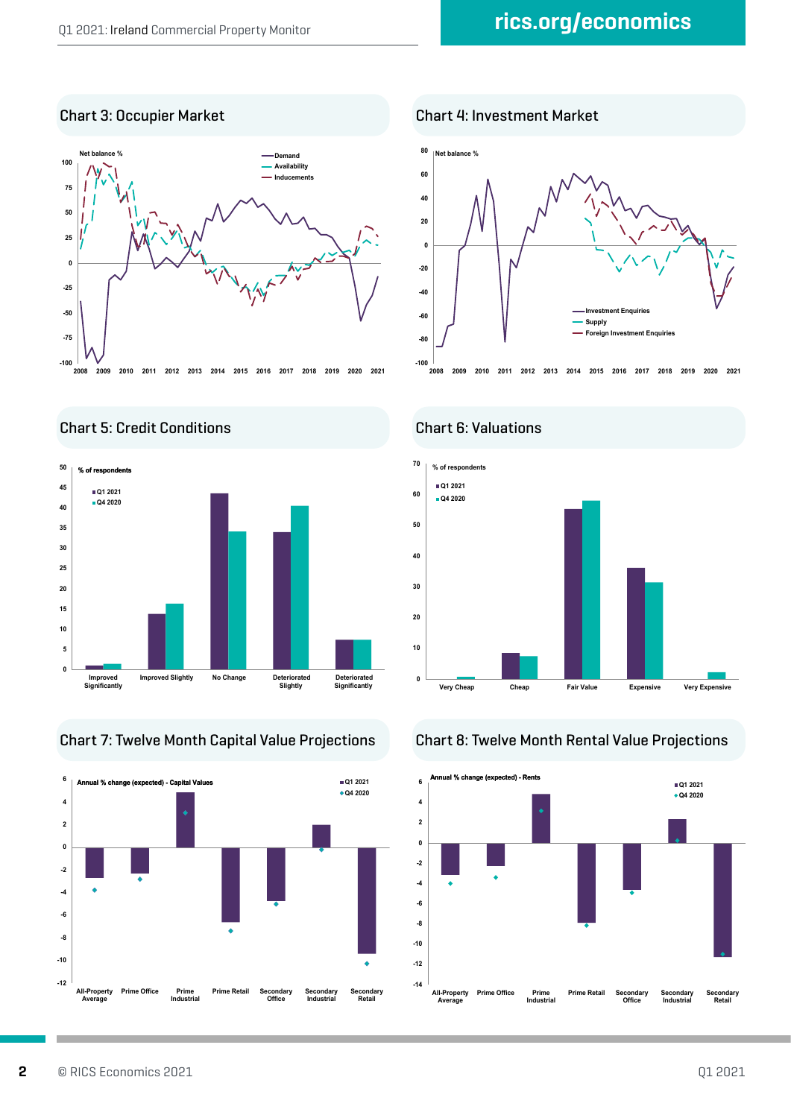#### Chart 3: Occupier Market Chart 4: Investment Market



**-100 -80 -60 -40 -20 0 20 40 60 80 2008 2009 2010 2011 2012 2013 2014 2015 2016 2017 2018 2019 2020 2021 Investment Enquiries Supply Foreign Investment Enquiries Net balance %**

Chart 5: Credit Conditions Chart 6: Valuations



Chart 7: Twelve Month Capital Value Projections Chart 8: Twelve Month Rental Value Projections





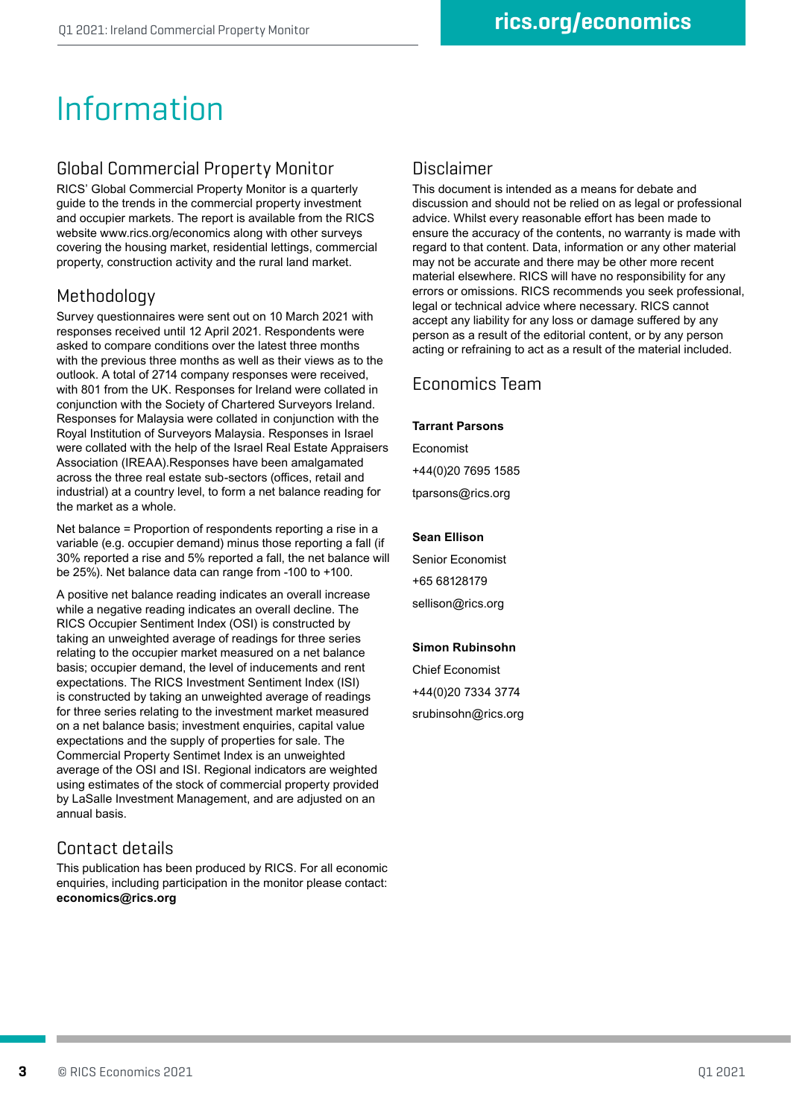# Information

#### Global Commercial Property Monitor

RICS' Global Commercial Property Monitor is a quarterly guide to the trends in the commercial property investment and occupier markets. The report is available from the RICS website www.rics.org/economics along with other surveys covering the housing market, residential lettings, commercial property, construction activity and the rural land market.

#### Methodology

Survey questionnaires were sent out on 10 March 2021 with responses received until 12 April 2021. Respondents were asked to compare conditions over the latest three months with the previous three months as well as their views as to the outlook. A total of 2714 company responses were received, with 801 from the UK. Responses for Ireland were collated in conjunction with the Society of Chartered Surveyors Ireland. Responses for Malaysia were collated in conjunction with the Royal Institution of Surveyors Malaysia. Responses in Israel were collated with the help of the Israel Real Estate Appraisers Association (IREAA).Responses have been amalgamated across the three real estate sub-sectors (offices, retail and industrial) at a country level, to form a net balance reading for the market as a whole.

Net balance = Proportion of respondents reporting a rise in a variable (e.g. occupier demand) minus those reporting a fall (if 30% reported a rise and 5% reported a fall, the net balance will be 25%). Net balance data can range from -100 to +100.

A positive net balance reading indicates an overall increase while a negative reading indicates an overall decline. The RICS Occupier Sentiment Index (OSI) is constructed by taking an unweighted average of readings for three series relating to the occupier market measured on a net balance basis; occupier demand, the level of inducements and rent expectations. The RICS Investment Sentiment Index (ISI) is constructed by taking an unweighted average of readings for three series relating to the investment market measured on a net balance basis; investment enquiries, capital value expectations and the supply of properties for sale. The Commercial Property Sentimet Index is an unweighted average of the OSI and ISI. Regional indicators are weighted using estimates of the stock of commercial property provided by LaSalle Investment Management, and are adjusted on an annual basis.

### Contact details

This publication has been produced by RICS. For all economic enquiries, including participation in the monitor please contact: **economics@rics.org**

#### Disclaimer

This document is intended as a means for debate and discussion and should not be relied on as legal or professional advice. Whilst every reasonable effort has been made to ensure the accuracy of the contents, no warranty is made with regard to that content. Data, information or any other material may not be accurate and there may be other more recent material elsewhere. RICS will have no responsibility for any errors or omissions. RICS recommends you seek professional, legal or technical advice where necessary. RICS cannot accept any liability for any loss or damage suffered by any person as a result of the editorial content, or by any person acting or refraining to act as a result of the material included.

#### Economics Team

#### **Tarrant Parsons**

Economist +44(0)20 7695 1585 tparsons@rics.org

#### **Sean Ellison**

Senior Economist +65 68128179 sellison@rics.org

#### **Simon Rubinsohn**

Chief Economist +44(0)20 7334 3774 srubinsohn@rics.org